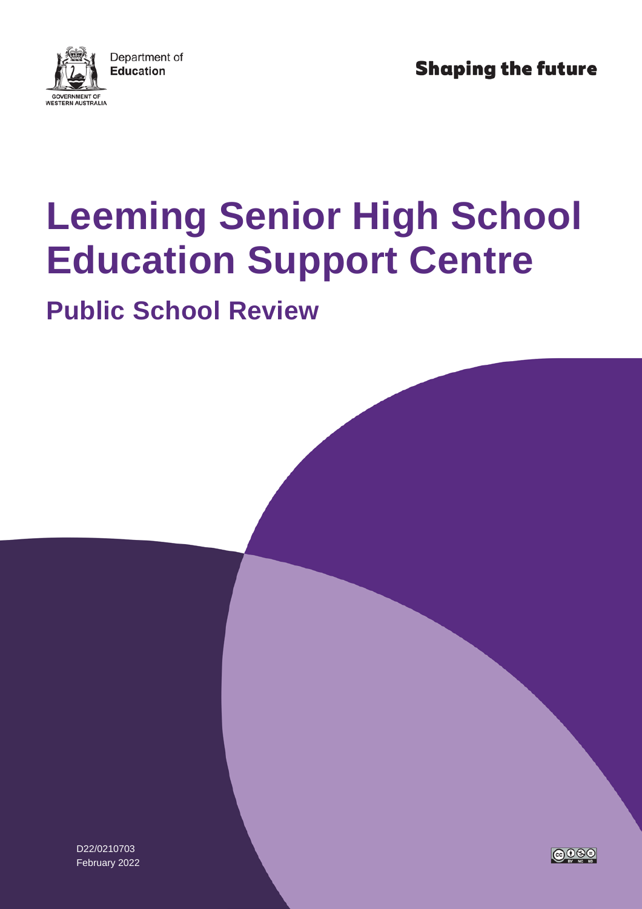

**Shaping the future** 

# **Leeming Senior High School Education Support Centre**

## **Public School Review**

D22/0210703 February 2022

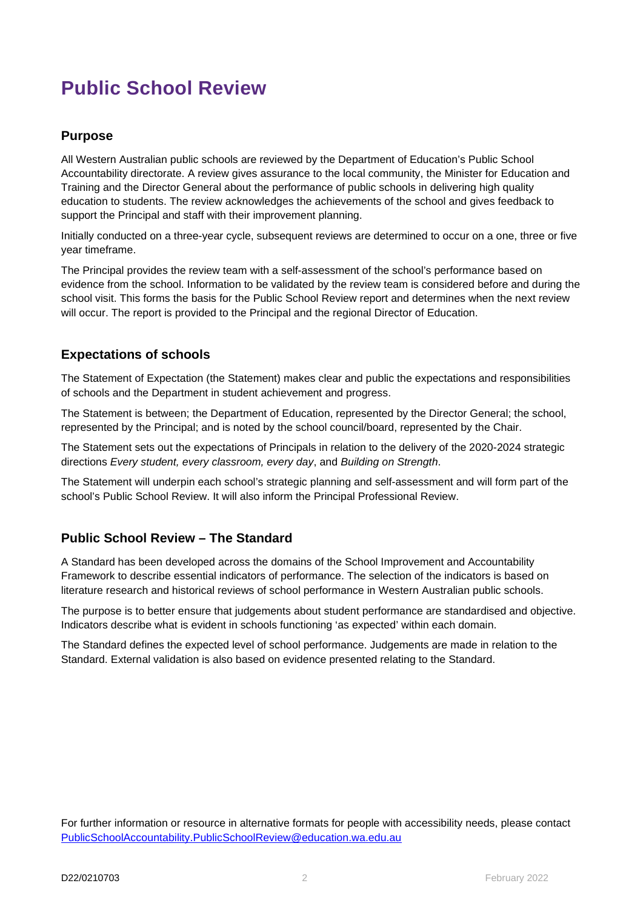### **Public School Review**

#### **Purpose**

All Western Australian public schools are reviewed by the Department of Education's Public School Accountability directorate. A review gives assurance to the local community, the Minister for Education and Training and the Director General about the performance of public schools in delivering high quality education to students. The review acknowledges the achievements of the school and gives feedback to support the Principal and staff with their improvement planning.

Initially conducted on a three-year cycle, subsequent reviews are determined to occur on a one, three or five year timeframe.

The Principal provides the review team with a self-assessment of the school's performance based on evidence from the school. Information to be validated by the review team is considered before and during the school visit. This forms the basis for the Public School Review report and determines when the next review will occur. The report is provided to the Principal and the regional Director of Education.

#### **Expectations of schools**

The Statement of Expectation (the Statement) makes clear and public the expectations and responsibilities of schools and the Department in student achievement and progress.

The Statement is between; the Department of Education, represented by the Director General; the school, represented by the Principal; and is noted by the school council/board, represented by the Chair.

The Statement sets out the expectations of Principals in relation to the delivery of the 2020-2024 strategic directions *Every student, every classroom, every day*, and *Building on Strength*.

The Statement will underpin each school's strategic planning and self-assessment and will form part of the school's Public School Review. It will also inform the Principal Professional Review.

#### **Public School Review – The Standard**

A Standard has been developed across the domains of the School Improvement and Accountability Framework to describe essential indicators of performance. The selection of the indicators is based on literature research and historical reviews of school performance in Western Australian public schools.

The purpose is to better ensure that judgements about student performance are standardised and objective. Indicators describe what is evident in schools functioning 'as expected' within each domain.

The Standard defines the expected level of school performance. Judgements are made in relation to the Standard. External validation is also based on evidence presented relating to the Standard.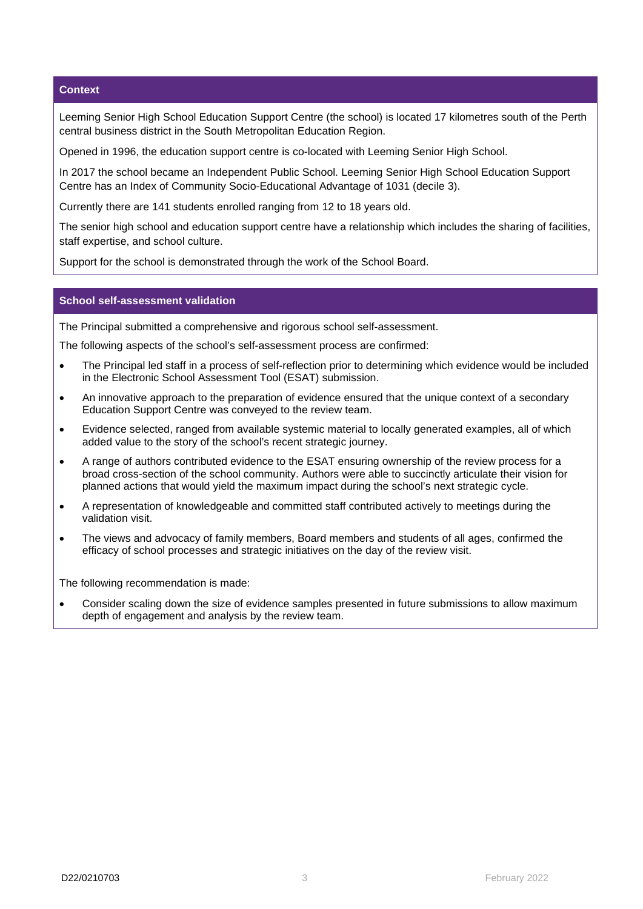#### **Context**

Leeming Senior High School Education Support Centre (the school) is located 17 kilometres south of the Perth central business district in the South Metropolitan Education Region.

Opened in 1996, the education support centre is co-located with Leeming Senior High School.

In 2017 the school became an Independent Public School. Leeming Senior High School Education Support Centre has an Index of Community Socio-Educational Advantage of 1031 (decile 3).

Currently there are 141 students enrolled ranging from 12 to 18 years old.

The senior high school and education support centre have a relationship which includes the sharing of facilities, staff expertise, and school culture.

Support for the school is demonstrated through the work of the School Board.

#### **School self-assessment validation**

The Principal submitted a comprehensive and rigorous school self-assessment.

The following aspects of the school's self-assessment process are confirmed:

- The Principal led staff in a process of self-reflection prior to determining which evidence would be included in the Electronic School Assessment Tool (ESAT) submission.
- An innovative approach to the preparation of evidence ensured that the unique context of a secondary Education Support Centre was conveyed to the review team.
- Evidence selected, ranged from available systemic material to locally generated examples, all of which added value to the story of the school's recent strategic journey.
- A range of authors contributed evidence to the ESAT ensuring ownership of the review process for a broad cross-section of the school community. Authors were able to succinctly articulate their vision for planned actions that would yield the maximum impact during the school's next strategic cycle.
- A representation of knowledgeable and committed staff contributed actively to meetings during the validation visit.
- The views and advocacy of family members, Board members and students of all ages, confirmed the efficacy of school processes and strategic initiatives on the day of the review visit.

The following recommendation is made:

• Consider scaling down the size of evidence samples presented in future submissions to allow maximum depth of engagement and analysis by the review team.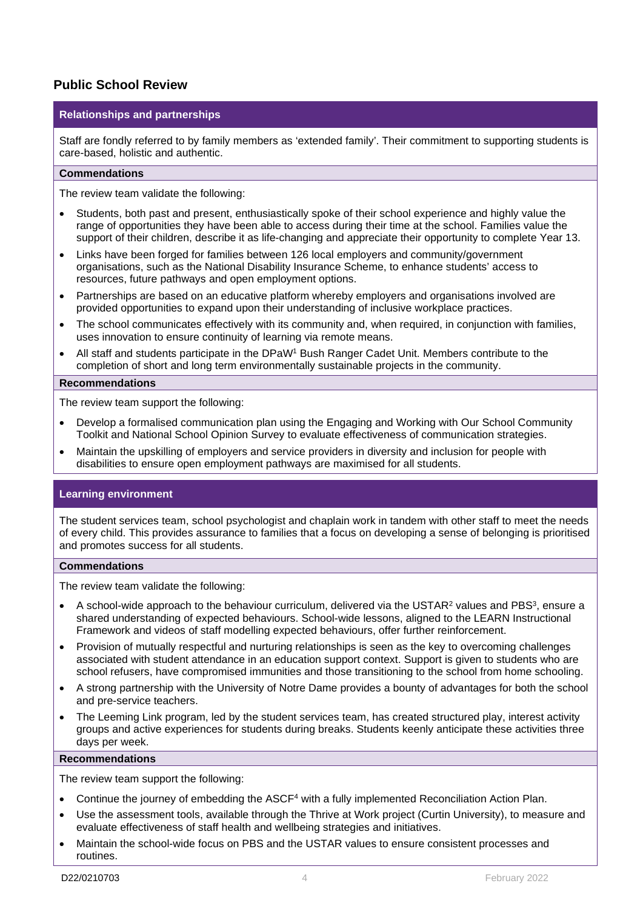#### **Public School Review**

#### **Relationships and partnerships**

Staff are fondly referred to by family members as 'extended family'. Their commitment to supporting students is care-based, holistic and authentic.

#### **Commendations**

The review team validate the following:

- Students, both past and present, enthusiastically spoke of their school experience and highly value the range of opportunities they have been able to access during their time at the school. Families value the support of their children, describe it as life-changing and appreciate their opportunity to complete Year 13.
- Links have been forged for families between 126 local employers and community/government organisations, such as the National Disability Insurance Scheme, to enhance students' access to resources, future pathways and open employment options.
- Partnerships are based on an educative platform whereby employers and organisations involved are provided opportunities to expand upon their understanding of inclusive workplace practices.
- The school communicates effectively with its community and, when required, in conjunction with families, uses innovation to ensure continuity of learning via remote means.
- All staff and students participate in the DPaW<sup>1</sup> Bush Ranger Cadet Unit. Members contribute to the completion of short and long term environmentally sustainable projects in the community.

#### **Recommendations**

The review team support the following:

- Develop a formalised communication plan using the Engaging and Working with Our School Community Toolkit and National School Opinion Survey to evaluate effectiveness of communication strategies.
- Maintain the upskilling of employers and service providers in diversity and inclusion for people with disabilities to ensure open employment pathways are maximised for all students.

#### **Learning environment**

The student services team, school psychologist and chaplain work in tandem with other staff to meet the needs of every child. This provides assurance to families that a focus on developing a sense of belonging is prioritised and promotes success for all students.

#### **Commendations**

The review team validate the following:

- A school-wide approach to the behaviour curriculum, delivered via the USTAR<sup>2</sup> values and PBS<sup>3</sup>, ensure a shared understanding of expected behaviours. School-wide lessons, aligned to the LEARN Instructional Framework and videos of staff modelling expected behaviours, offer further reinforcement.
- Provision of mutually respectful and nurturing relationships is seen as the key to overcoming challenges associated with student attendance in an education support context. Support is given to students who are school refusers, have compromised immunities and those transitioning to the school from home schooling.
- A strong partnership with the University of Notre Dame provides a bounty of advantages for both the school and pre-service teachers.
- The Leeming Link program, led by the student services team, has created structured play, interest activity groups and active experiences for students during breaks. Students keenly anticipate these activities three days per week.

#### **Recommendations**

The review team support the following:

- Continue the journey of embedding the ASCF4 with a fully implemented Reconciliation Action Plan.
- Use the assessment tools, available through the Thrive at Work project (Curtin University), to measure and evaluate effectiveness of staff health and wellbeing strategies and initiatives.
- Maintain the school-wide focus on PBS and the USTAR values to ensure consistent processes and routines.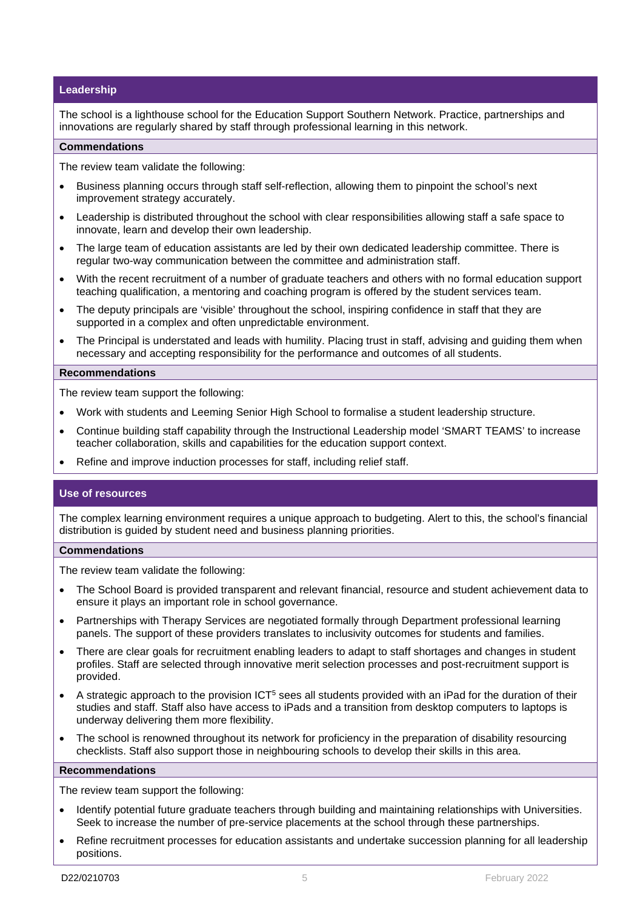#### **Leadership**

The school is a lighthouse school for the Education Support Southern Network. Practice, partnerships and innovations are regularly shared by staff through professional learning in this network.

#### **Commendations**

The review team validate the following:

- Business planning occurs through staff self-reflection, allowing them to pinpoint the school's next improvement strategy accurately.
- Leadership is distributed throughout the school with clear responsibilities allowing staff a safe space to innovate, learn and develop their own leadership.
- The large team of education assistants are led by their own dedicated leadership committee. There is regular two-way communication between the committee and administration staff.
- With the recent recruitment of a number of graduate teachers and others with no formal education support teaching qualification, a mentoring and coaching program is offered by the student services team.
- The deputy principals are 'visible' throughout the school, inspiring confidence in staff that they are supported in a complex and often unpredictable environment.
- The Principal is understated and leads with humility. Placing trust in staff, advising and guiding them when necessary and accepting responsibility for the performance and outcomes of all students.

#### **Recommendations**

The review team support the following:

- Work with students and Leeming Senior High School to formalise a student leadership structure.
- Continue building staff capability through the Instructional Leadership model 'SMART TEAMS' to increase teacher collaboration, skills and capabilities for the education support context.
- Refine and improve induction processes for staff, including relief staff.

#### **Use of resources**

The complex learning environment requires a unique approach to budgeting. Alert to this, the school's financial distribution is guided by student need and business planning priorities.

#### **Commendations**

The review team validate the following:

- The School Board is provided transparent and relevant financial, resource and student achievement data to ensure it plays an important role in school governance.
- Partnerships with Therapy Services are negotiated formally through Department professional learning panels. The support of these providers translates to inclusivity outcomes for students and families.
- There are clear goals for recruitment enabling leaders to adapt to staff shortages and changes in student profiles. Staff are selected through innovative merit selection processes and post-recruitment support is provided.
- A strategic approach to the provision ICT5 sees all students provided with an iPad for the duration of their studies and staff. Staff also have access to iPads and a transition from desktop computers to laptops is underway delivering them more flexibility.
- The school is renowned throughout its network for proficiency in the preparation of disability resourcing checklists. Staff also support those in neighbouring schools to develop their skills in this area.

#### **Recommendations**

The review team support the following:

- Identify potential future graduate teachers through building and maintaining relationships with Universities. Seek to increase the number of pre-service placements at the school through these partnerships.
- Refine recruitment processes for education assistants and undertake succession planning for all leadership positions.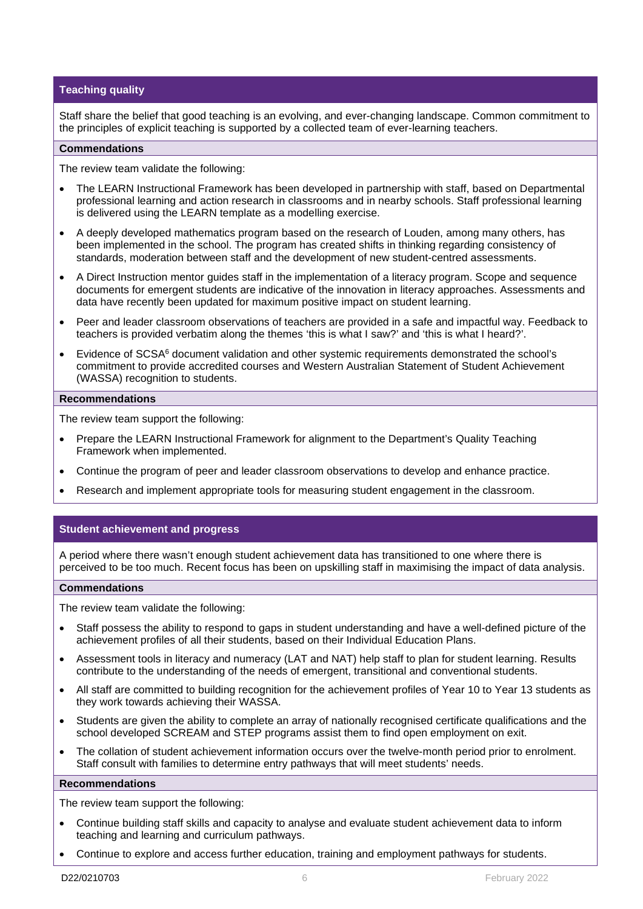#### **Teaching quality**

Staff share the belief that good teaching is an evolving, and ever-changing landscape. Common commitment to the principles of explicit teaching is supported by a collected team of ever-learning teachers.

#### **Commendations**

The review team validate the following:

- The LEARN Instructional Framework has been developed in partnership with staff, based on Departmental professional learning and action research in classrooms and in nearby schools. Staff professional learning is delivered using the LEARN template as a modelling exercise.
- A deeply developed mathematics program based on the research of Louden, among many others, has been implemented in the school. The program has created shifts in thinking regarding consistency of standards, moderation between staff and the development of new student-centred assessments.
- A Direct Instruction mentor guides staff in the implementation of a literacy program. Scope and sequence documents for emergent students are indicative of the innovation in literacy approaches. Assessments and data have recently been updated for maximum positive impact on student learning.
- Peer and leader classroom observations of teachers are provided in a safe and impactful way. Feedback to teachers is provided verbatim along the themes 'this is what I saw?' and 'this is what I heard?'.
- Evidence of SCSA6 document validation and other systemic requirements demonstrated the school's commitment to provide accredited courses and Western Australian Statement of Student Achievement (WASSA) recognition to students.

#### **Recommendations**

The review team support the following:

- Prepare the LEARN Instructional Framework for alignment to the Department's Quality Teaching Framework when implemented.
- Continue the program of peer and leader classroom observations to develop and enhance practice.
- Research and implement appropriate tools for measuring student engagement in the classroom.

#### **Student achievement and progress**

A period where there wasn't enough student achievement data has transitioned to one where there is perceived to be too much. Recent focus has been on upskilling staff in maximising the impact of data analysis.

#### **Commendations**

The review team validate the following:

- Staff possess the ability to respond to gaps in student understanding and have a well-defined picture of the achievement profiles of all their students, based on their Individual Education Plans.
- Assessment tools in literacy and numeracy (LAT and NAT) help staff to plan for student learning. Results contribute to the understanding of the needs of emergent, transitional and conventional students.
- All staff are committed to building recognition for the achievement profiles of Year 10 to Year 13 students as they work towards achieving their WASSA.
- Students are given the ability to complete an array of nationally recognised certificate qualifications and the school developed SCREAM and STEP programs assist them to find open employment on exit.
- The collation of student achievement information occurs over the twelve-month period prior to enrolment. Staff consult with families to determine entry pathways that will meet students' needs.

#### **Recommendations**

The review team support the following:

- Continue building staff skills and capacity to analyse and evaluate student achievement data to inform teaching and learning and curriculum pathways.
- Continue to explore and access further education, training and employment pathways for students.